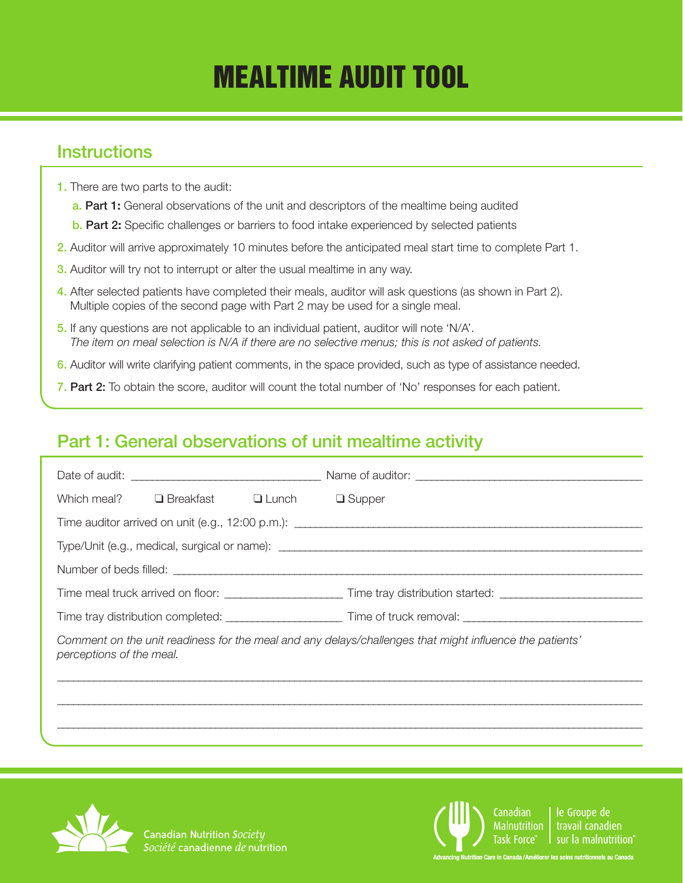## MEALTIME AUDIT TOOL

## **Instructions**

- 1. There are two parts to the audit:
	- a. Part 1**:** General observations of the unit and descriptors of the mealtime being audited
	- b. Part 2**:** Specific challenges or barriers to food intake experienced by selected patients
- 2. Auditor will arrive approximately 10 minutes before the anticipated meal start time to complete Part 1.
- **3.** Auditor will try not to interrupt or alter the usual mealtime in any way.
- 4. After selected patients have completed their meals, auditor will ask questions (as shown in Part 2). Multiple copies of the second page with Part 2 may be used for a single meal.
- 5. If any questions are not applicable to an individual patient, auditor will note 'N/A'. *The item on meal selection is N/A if there are no selective menus; this is not asked of patients.*
- 6. Auditor will write clarifying patient comments, in the space provided, such as type of assistance needed.
- 7. Part 2: To obtain the score, auditor will count the total number of 'No' responses for each patient.

## Part 1: General observations of unit mealtime activity

|                          | Which meal? $\Box$ Breakfast $\Box$ Lunch $\Box$ Supper |                                                                                                                |
|--------------------------|---------------------------------------------------------|----------------------------------------------------------------------------------------------------------------|
|                          |                                                         |                                                                                                                |
|                          |                                                         |                                                                                                                |
|                          |                                                         |                                                                                                                |
|                          |                                                         |                                                                                                                |
|                          |                                                         | Time tray distribution completed: ___________________________Time of truck removal: __________________________ |
| perceptions of the meal. |                                                         | Comment on the unit readiness for the meal and any delays/challenges that might influence the patients'        |
|                          |                                                         |                                                                                                                |
|                          |                                                         |                                                                                                                |



Canadian Nutrition Society Société canadienne de nutrition